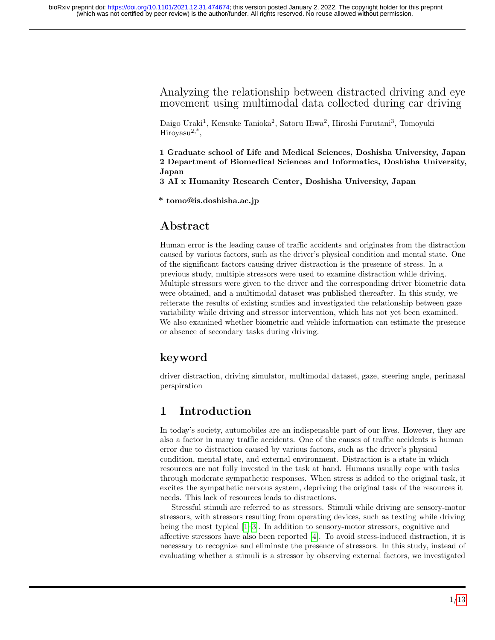## Analyzing the relationship between distracted driving and eye movement using multimodal data collected during car driving

Daigo Uraki<sup>1</sup>, Kensuke Tanioka<sup>2</sup>, Satoru Hiwa<sup>2</sup>, Hiroshi Furutani<sup>3</sup>, Tomoyuki  $H$ iroyasu<sup>2,\*</sup>,

1 Graduate school of Life and Medical Sciences, Doshisha University, Japan 2 Department of Biomedical Sciences and Informatics, Doshisha University, Japan

3 AI x Humanity Research Center, Doshisha University, Japan

\* tomo@is.doshisha.ac.jp

# Abstract

Human error is the leading cause of traffic accidents and originates from the distraction caused by various factors, such as the driver's physical condition and mental state. One of the significant factors causing driver distraction is the presence of stress. In a previous study, multiple stressors were used to examine distraction while driving. Multiple stressors were given to the driver and the corresponding driver biometric data were obtained, and a multimodal dataset was published thereafter. In this study, we reiterate the results of existing studies and investigated the relationship between gaze variability while driving and stressor intervention, which has not yet been examined. We also examined whether biometric and vehicle information can estimate the presence or absence of secondary tasks during driving.

# keyword

driver distraction, driving simulator, multimodal dataset, gaze, steering angle, perinasal perspiration

# 1 Introduction

In today's society, automobiles are an indispensable part of our lives. However, they are also a factor in many traffic accidents. One of the causes of traffic accidents is human error due to distraction caused by various factors, such as the driver's physical condition, mental state, and external environment. Distraction is a state in which resources are not fully invested in the task at hand. Humans usually cope with tasks through moderate sympathetic responses. When stress is added to the original task, it excites the sympathetic nervous system, depriving the original task of the resources it needs. This lack of resources leads to distractions.

Stressful stimuli are referred to as stressors. Stimuli while driving are sensory-motor stressors, with stressors resulting from operating devices, such as texting while driving being the most typical [\[1–](#page-8-0)[3\]](#page-9-0). In addition to sensory-motor stressors, cognitive and affective stressors have also been reported [\[4\]](#page-9-1). To avoid stress-induced distraction, it is necessary to recognize and eliminate the presence of stressors. In this study, instead of evaluating whether a stimuli is a stressor by observing external factors, we investigated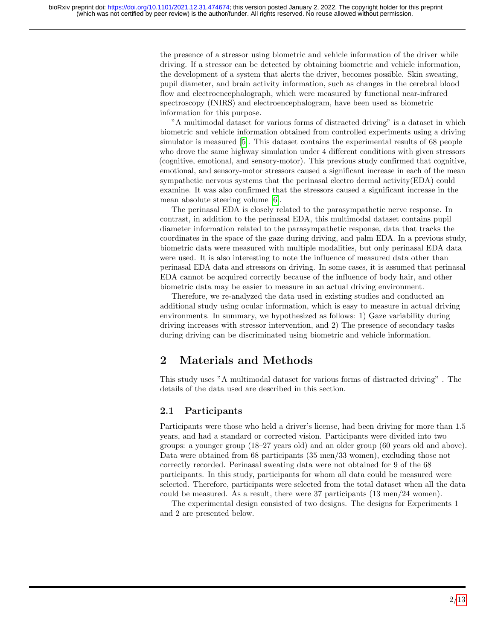the presence of a stressor using biometric and vehicle information of the driver while driving. If a stressor can be detected by obtaining biometric and vehicle information, the development of a system that alerts the driver, becomes possible. Skin sweating, pupil diameter, and brain activity information, such as changes in the cerebral blood flow and electroencephalograph, which were measured by functional near-infrared spectroscopy (fNIRS) and electroencephalogram, have been used as biometric information for this purpose.

"A multimodal dataset for various forms of distracted driving" is a dataset in which biometric and vehicle information obtained from controlled experiments using a driving simulator is measured [\[5\]](#page-9-2). This dataset contains the experimental results of 68 people who drove the same highway simulation under 4 different conditions with given stressors (cognitive, emotional, and sensory-motor). This previous study confirmed that cognitive, emotional, and sensory-motor stressors caused a significant increase in each of the mean sympathetic nervous systems that the perinasal electro dermal activity(EDA) could examine. It was also confirmed that the stressors caused a significant increase in the mean absolute steering volume [\[6\]](#page-9-3).

The perinasal EDA is closely related to the parasympathetic nerve response. In contrast, in addition to the perinasal EDA, this multimodal dataset contains pupil diameter information related to the parasympathetic response, data that tracks the coordinates in the space of the gaze during driving, and palm EDA. In a previous study, biometric data were measured with multiple modalities, but only perinasal EDA data were used. It is also interesting to note the influence of measured data other than perinasal EDA data and stressors on driving. In some cases, it is assumed that perinasal EDA cannot be acquired correctly because of the influence of body hair, and other biometric data may be easier to measure in an actual driving environment.

Therefore, we re-analyzed the data used in existing studies and conducted an additional study using ocular information, which is easy to measure in actual driving environments. In summary, we hypothesized as follows: 1) Gaze variability during driving increases with stressor intervention, and 2) The presence of secondary tasks during driving can be discriminated using biometric and vehicle information.

# 2 Materials and Methods

This study uses "A multimodal dataset for various forms of distracted driving" . The details of the data used are described in this section.

## 2.1 Participants

Participants were those who held a driver's license, had been driving for more than 1.5 years, and had a standard or corrected vision. Participants were divided into two groups: a younger group (18–27 years old) and an older group (60 years old and above). Data were obtained from 68 participants (35 men/33 women), excluding those not correctly recorded. Perinasal sweating data were not obtained for 9 of the 68 participants. In this study, participants for whom all data could be measured were selected. Therefore, participants were selected from the total dataset when all the data could be measured. As a result, there were 37 participants (13 men/24 women).

The experimental design consisted of two designs. The designs for Experiments 1 and 2 are presented below.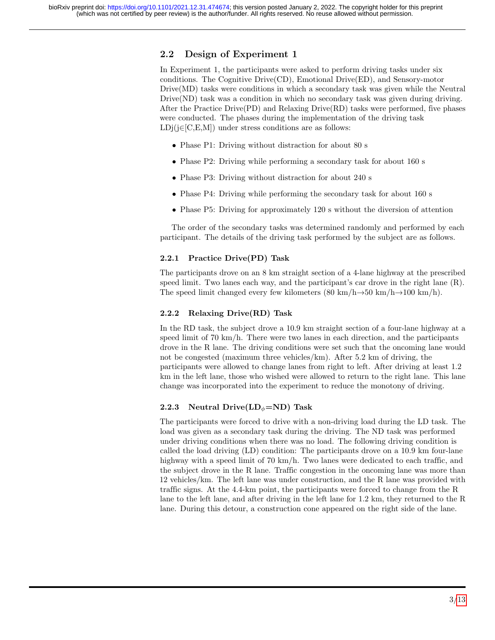## 2.2 Design of Experiment 1

In Experiment 1, the participants were asked to perform driving tasks under six conditions. The Cognitive Drive(CD), Emotional Drive(ED), and Sensory-motor Drive(MD) tasks were conditions in which a secondary task was given while the Neutral Drive(ND) task was a condition in which no secondary task was given during driving. After the Practice Drive(PD) and Relaxing Drive(RD) tasks were performed, five phases were conducted. The phases during the implementation of the driving task  $LDj(i\in [C, E, M])$  under stress conditions are as follows:

- Phase P1: Driving without distraction for about 80 s
- Phase P2: Driving while performing a secondary task for about 160 s
- Phase P3: Driving without distraction for about 240 s
- Phase P4: Driving while performing the secondary task for about 160 s
- Phase P5: Driving for approximately 120 s without the diversion of attention

The order of the secondary tasks was determined randomly and performed by each participant. The details of the driving task performed by the subject are as follows.

### 2.2.1 Practice Drive(PD) Task

The participants drove on an 8 km straight section of a 4-lane highway at the prescribed speed limit. Two lanes each way, and the participant's car drove in the right lane (R). The speed limit changed every few kilometers  $(80 \text{ km/h} \rightarrow 50 \text{ km/h} \rightarrow 100 \text{ km/h})$ .

#### 2.2.2 Relaxing Drive(RD) Task

In the RD task, the subject drove a 10.9 km straight section of a four-lane highway at a speed limit of 70 km/h. There were two lanes in each direction, and the participants drove in the R lane. The driving conditions were set such that the oncoming lane would not be congested (maximum three vehicles/km). After 5.2 km of driving, the participants were allowed to change lanes from right to left. After driving at least 1.2 km in the left lane, those who wished were allowed to return to the right lane. This lane change was incorporated into the experiment to reduce the monotony of driving.

### 2.2.3 Neutral Drive $(LD_{\phi} = ND)$  Task

The participants were forced to drive with a non-driving load during the LD task. The load was given as a secondary task during the driving. The ND task was performed under driving conditions when there was no load. The following driving condition is called the load driving (LD) condition: The participants drove on a 10.9 km four-lane highway with a speed limit of 70 km/h. Two lanes were dedicated to each traffic, and the subject drove in the R lane. Traffic congestion in the oncoming lane was more than 12 vehicles/km. The left lane was under construction, and the R lane was provided with traffic signs. At the 4.4-km point, the participants were forced to change from the R lane to the left lane, and after driving in the left lane for 1.2 km, they returned to the R lane. During this detour, a construction cone appeared on the right side of the lane.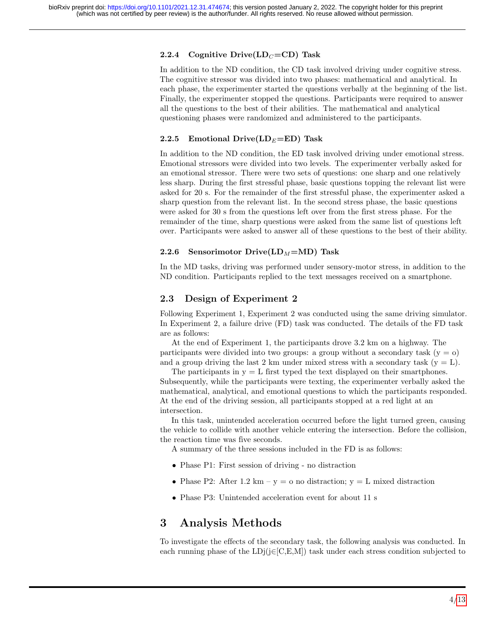### 2.2.4 Cognitive Drive(LD $_C = CD$ ) Task

In addition to the ND condition, the CD task involved driving under cognitive stress. The cognitive stressor was divided into two phases: mathematical and analytical. In each phase, the experimenter started the questions verbally at the beginning of the list. Finally, the experimenter stopped the questions. Participants were required to answer all the questions to the best of their abilities. The mathematical and analytical questioning phases were randomized and administered to the participants.

### 2.2.5 Emotional Drive( $LD_E=ED$ ) Task

In addition to the ND condition, the ED task involved driving under emotional stress. Emotional stressors were divided into two levels. The experimenter verbally asked for an emotional stressor. There were two sets of questions: one sharp and one relatively less sharp. During the first stressful phase, basic questions topping the relevant list were asked for 20 s. For the remainder of the first stressful phase, the experimenter asked a sharp question from the relevant list. In the second stress phase, the basic questions were asked for 30 s from the questions left over from the first stress phase. For the remainder of the time, sharp questions were asked from the same list of questions left over. Participants were asked to answer all of these questions to the best of their ability.

### 2.2.6 Sensorimotor Drive( $LD_M=MD$ ) Task

In the MD tasks, driving was performed under sensory-motor stress, in addition to the ND condition. Participants replied to the text messages received on a smartphone.

## 2.3 Design of Experiment 2

Following Experiment 1, Experiment 2 was conducted using the same driving simulator. In Experiment 2, a failure drive (FD) task was conducted. The details of the FD task are as follows:

At the end of Experiment 1, the participants drove 3.2 km on a highway. The participants were divided into two groups: a group without a secondary task  $(y = 0)$ and a group driving the last 2 km under mixed stress with a secondary task  $(y = L)$ .

The participants in  $y = L$  first typed the text displayed on their smartphones. Subsequently, while the participants were texting, the experimenter verbally asked the mathematical, analytical, and emotional questions to which the participants responded. At the end of the driving session, all participants stopped at a red light at an intersection.

In this task, unintended acceleration occurred before the light turned green, causing the vehicle to collide with another vehicle entering the intersection. Before the collision, the reaction time was five seconds.

A summary of the three sessions included in the FD is as follows:

- Phase P1: First session of driving no distraction
- Phase P2: After 1.2 km y = o no distraction; y = L mixed distraction
- Phase P3: Unintended acceleration event for about 11 s

# 3 Analysis Methods

To investigate the effects of the secondary task, the following analysis was conducted. In each running phase of the  $LDj(j \in [C, E, M])$  task under each stress condition subjected to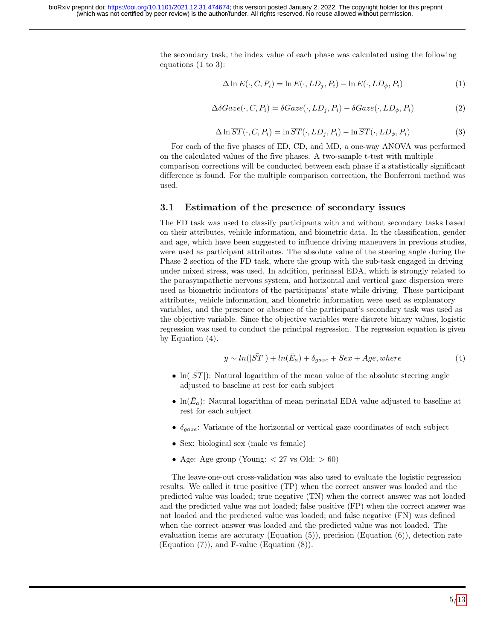the secondary task, the index value of each phase was calculated using the following equations (1 to 3):

$$
\Delta \ln \overline{E}(\cdot, C, P_i) = \ln \overline{E}(\cdot, LD_j, P_i) - \ln \overline{E}(\cdot, LD_\phi, P_i)
$$
\n(1)

$$
\Delta \delta Gaze(\cdot, C, P_i) = \delta Gaze(\cdot, LD_j, P_i) - \delta Gaze(\cdot, LD_\phi, P_i)
$$
\n(2)

$$
\Delta \ln \overline{ST}(\cdot, C, P_i) = \ln \overline{ST}(\cdot, LD_j, P_i) - \ln \overline{ST}(\cdot, LD_\phi, P_i)
$$
\n(3)

For each of the five phases of ED, CD, and MD, a one-way ANOVA was performed on the calculated values of the five phases. A two-sample t-test with multiple comparison corrections will be conducted between each phase if a statistically significant difference is found. For the multiple comparison correction, the Bonferroni method was used.

### 3.1 Estimation of the presence of secondary issues

The FD task was used to classify participants with and without secondary tasks based on their attributes, vehicle information, and biometric data. In the classification, gender and age, which have been suggested to influence driving maneuvers in previous studies, were used as participant attributes. The absolute value of the steering angle during the Phase 2 section of the FD task, where the group with the sub-task engaged in driving under mixed stress, was used. In addition, perinasal EDA, which is strongly related to the parasympathetic nervous system, and horizontal and vertical gaze dispersion were used as biometric indicators of the participants' state while driving. These participant attributes, vehicle information, and biometric information were used as explanatory variables, and the presence or absence of the participant's secondary task was used as the objective variable. Since the objective variables were discrete binary values, logistic regression was used to conduct the principal regression. The regression equation is given by Equation (4).

$$
y \sim ln(|\bar{ST}|) + ln(\bar{E}_a) + \delta_{gaze} + Sex + Age, where
$$
\n(4)

- $\ln(|ST|)$ : Natural logarithm of the mean value of the absolute steering angle adjusted to baseline at rest for each subject
- $\ln(\bar{E}_a)$ : Natural logarithm of mean perinatal EDA value adjusted to baseline at rest for each subject
- $\delta_{\textit{gaze}}$ : Variance of the horizontal or vertical gaze coordinates of each subject
- Sex: biological sex (male vs female)
- Age: Age group (Young:  $\langle 27 \text{ vs } Old: \rangle 60$ )

The leave-one-out cross-validation was also used to evaluate the logistic regression results. We called it true positive (TP) when the correct answer was loaded and the predicted value was loaded; true negative (TN) when the correct answer was not loaded and the predicted value was not loaded; false positive (FP) when the correct answer was not loaded and the predicted value was loaded; and false negative (FN) was defined when the correct answer was loaded and the predicted value was not loaded. The evaluation items are accuracy (Equation (5)), precision (Equation (6)), detection rate (Equation (7)), and F-value (Equation (8)).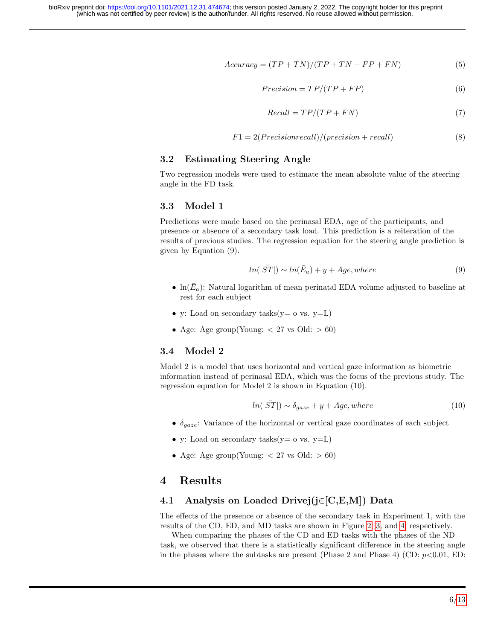$$
Accuracy = (TP + TN)/(TP + TN + FP + FN)
$$
\n(5)

$$
Precision = TP/(TP + FP)
$$
\n(6)

$$
Recall = TP/(TP + FN)
$$
\n<sup>(7)</sup>

$$
F1 = 2(Precision recall)/(precision + recall)
$$
 (8)

## 3.2 Estimating Steering Angle

Two regression models were used to estimate the mean absolute value of the steering angle in the FD task.

#### 3.3 Model 1

Predictions were made based on the perinasal EDA, age of the participants, and presence or absence of a secondary task load. This prediction is a reiteration of the results of previous studies. The regression equation for the steering angle prediction is given by Equation (9).

$$
ln(|\bar{ST}|) \sim ln(\bar{E}_a) + y + Age, where
$$
\n(9)

- $\ln(\bar{E}_a)$ : Natural logarithm of mean perinatal EDA volume adjusted to baseline at rest for each subject
- y: Load on secondary tasks( $y = 0$  vs.  $y=L$ )
- Age: Age group(Young:  $\langle 27 \text{ vs } Old: \rangle 60$ )

### 3.4 Model 2

Model 2 is a model that uses horizontal and vertical gaze information as biometric information instead of perinasal EDA, which was the focus of the previous study. The regression equation for Model 2 is shown in Equation (10).

$$
ln(|\bar{ST}|) \sim \delta_{gaze} + y + Age, where
$$
\n(10)

- $\delta_{\textit{gaze}}$ : Variance of the horizontal or vertical gaze coordinates of each subject
- y: Load on secondary tasks( $y = o$  vs.  $y = L$ )
- Age: Age group(Young:  $\langle 27 \text{ vs } Old: \rangle 60$ )

## 4 Results

### 4.1 Analysis on Loaded Drivej(j∈[C,E,M]) Data

The effects of the presence or absence of the secondary task in Experiment 1, with the results of the CD, ED, and MD tasks are shown in Figure [2,](#page-10-0) [3,](#page-11-0) and [4,](#page-12-1) respectively.

When comparing the phases of the CD and ED tasks with the phases of the ND task, we observed that there is a statistically significant difference in the steering angle in the phases where the subtasks are present (Phase 2 and Phase 4) (CD:  $p<0.01$ , ED: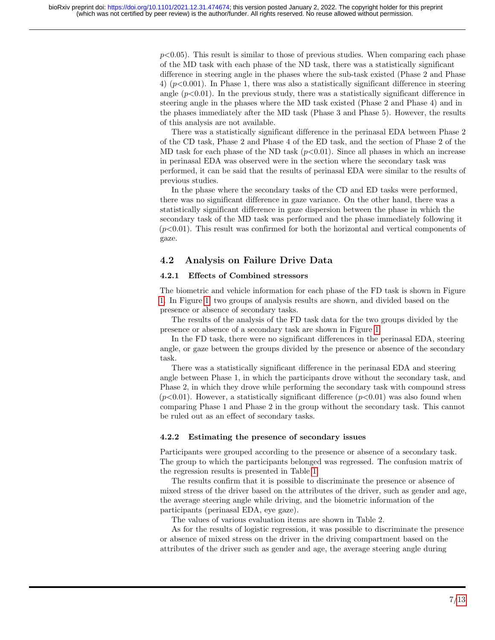$p<0.05$ ). This result is similar to those of previous studies. When comparing each phase of the MD task with each phase of the ND task, there was a statistically significant difference in steering angle in the phases where the sub-task existed (Phase 2 and Phase 4)  $(p<0.001)$ . In Phase 1, there was also a statistically significant difference in steering angle  $(p<0.01)$ . In the previous study, there was a statistically significant difference in steering angle in the phases where the MD task existed (Phase 2 and Phase 4) and in the phases immediately after the MD task (Phase 3 and Phase 5). However, the results of this analysis are not available.

There was a statistically significant difference in the perinasal EDA between Phase 2 of the CD task, Phase 2 and Phase 4 of the ED task, and the section of Phase 2 of the MD task for each phase of the ND task  $(p<0.01)$ . Since all phases in which an increase in perinasal EDA was observed were in the section where the secondary task was performed, it can be said that the results of perinasal EDA were similar to the results of previous studies.

In the phase where the secondary tasks of the CD and ED tasks were performed, there was no significant difference in gaze variance. On the other hand, there was a statistically significant difference in gaze dispersion between the phase in which the secondary task of the MD task was performed and the phase immediately following it  $(p<0.01)$ . This result was confirmed for both the horizontal and vertical components of gaze.

## 4.2 Analysis on Failure Drive Data

### 4.2.1 Effects of Combined stressors

The biometric and vehicle information for each phase of the FD task is shown in Figure [1.](#page-7-0) In Figure [1,](#page-7-0) two groups of analysis results are shown, and divided based on the presence or absence of secondary tasks.

The results of the analysis of the FD task data for the two groups divided by the presence or absence of a secondary task are shown in Figure [1.](#page-7-0)

In the FD task, there were no significant differences in the perinasal EDA, steering angle, or gaze between the groups divided by the presence or absence of the secondary task.

There was a statistically significant difference in the perinasal EDA and steering angle between Phase 1, in which the participants drove without the secondary task, and Phase 2, in which they drove while performing the secondary task with compound stress  $(p<0.01)$ . However, a statistically significant difference  $(p<0.01)$  was also found when comparing Phase 1 and Phase 2 in the group without the secondary task. This cannot be ruled out as an effect of secondary tasks.

### 4.2.2 Estimating the presence of secondary issues

Participants were grouped according to the presence or absence of a secondary task. The group to which the participants belonged was regressed. The confusion matrix of the regression results is presented in Table [1.](#page-8-1)

The results confirm that it is possible to discriminate the presence or absence of mixed stress of the driver based on the attributes of the driver, such as gender and age, the average steering angle while driving, and the biometric information of the participants (perinasal EDA, eye gaze).

The values of various evaluation items are shown in Table 2.

As for the results of logistic regression, it was possible to discriminate the presence or absence of mixed stress on the driver in the driving compartment based on the attributes of the driver such as gender and age, the average steering angle during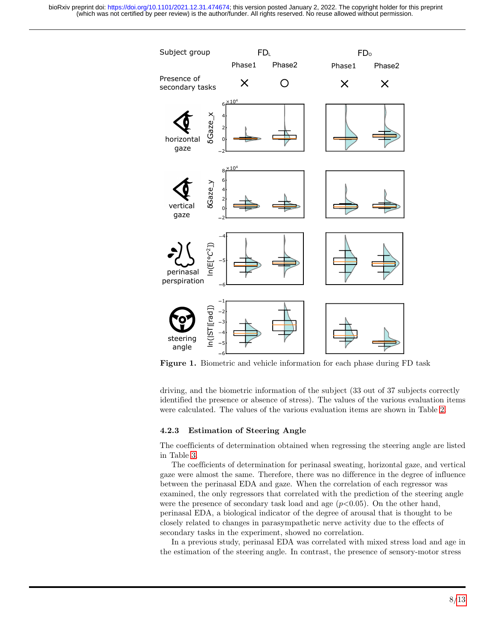<span id="page-7-0"></span>

Figure 1. Biometric and vehicle information for each phase during FD task

driving, and the biometric information of the subject (33 out of 37 subjects correctly identified the presence or absence of stress). The values of the various evaluation items were calculated. The values of the various evaluation items are shown in Table [2.](#page-8-2)

#### 4.2.3 Estimation of Steering Angle

The coefficients of determination obtained when regressing the steering angle are listed in Table [3.](#page-9-4)

The coefficients of determination for perinasal sweating, horizontal gaze, and vertical gaze were almost the same. Therefore, there was no difference in the degree of influence between the perinasal EDA and gaze. When the correlation of each regressor was examined, the only regressors that correlated with the prediction of the steering angle were the presence of secondary task load and age  $(p<0.05)$ . On the other hand, perinasal EDA, a biological indicator of the degree of arousal that is thought to be closely related to changes in parasympathetic nerve activity due to the effects of secondary tasks in the experiment, showed no correlation.

In a previous study, perinasal EDA was correlated with mixed stress load and age in the estimation of the steering angle. In contrast, the presence of sensory-motor stress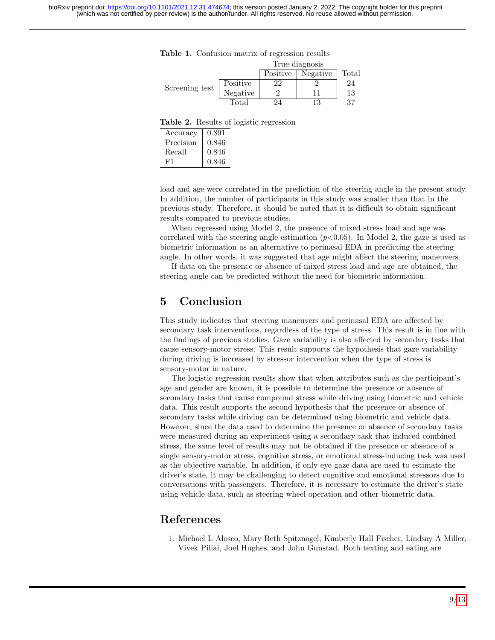<span id="page-8-1"></span>

|  | Table 1. Confusion matrix of regression results |  |  |  |  |
|--|-------------------------------------------------|--|--|--|--|
|--|-------------------------------------------------|--|--|--|--|

|                |          | True diagnosis |          |       |  |
|----------------|----------|----------------|----------|-------|--|
|                |          | Positive       | Negative | Total |  |
| Screening test | Positive | 22             |          | 24    |  |
|                | Negative |                |          | 13    |  |
|                | Total    |                |          | 27    |  |

<span id="page-8-2"></span>Table 2. Results of logistic regression

| Accuracy  | 0.891 |
|-----------|-------|
| Precision | 0.846 |
| Recall    | 0.846 |
| F1        | 0.846 |

load and age were correlated in the prediction of the steering angle in the present study. In addition, the number of participants in this study was smaller than that in the previous study. Therefore, it should be noted that it is difficult to obtain significant results compared to previous studies.

When regressed using Model 2, the presence of mixed stress load and age was correlated with the steering angle estimation  $(p<0.05)$ . In Model 2, the gaze is used as biometric information as an alternative to perinasal EDA in predicting the steering angle. In other words, it was suggested that age might affect the steering maneuvers.

If data on the presence or absence of mixed stress load and age are obtained, the steering angle can be predicted without the need for biometric information.

# 5 Conclusion

This study indicates that steering maneuvers and perinasal EDA are affected by secondary task interventions, regardless of the type of stress. This result is in line with the findings of previous studies. Gaze variability is also affected by secondary tasks that cause sensory-motor stress. This result supports the hypothesis that gaze variability during driving is increased by stressor intervention when the type of stress is sensory-motor in nature.

The logistic regression results show that when attributes such as the participant's age and gender are known, it is possible to determine the presence or absence of secondary tasks that cause compound stress while driving using biometric and vehicle data. This result supports the second hypothesis that the presence or absence of secondary tasks while driving can be determined using biometric and vehicle data. However, since the data used to determine the presence or absence of secondary tasks were measured during an experiment using a secondary task that induced combined stress, the same level of results may not be obtained if the presence or absence of a single sensory-motor stress, cognitive stress, or emotional stress-inducing task was used as the objective variable. In addition, if only eye gaze data are used to estimate the driver's state, it may be challenging to detect cognitive and emotional stressors due to conversations with passengers. Therefore, it is necessary to estimate the driver's state using vehicle data, such as steering wheel operation and other biometric data.

# References

<span id="page-8-0"></span>1. Michael L Alosco, Mary Beth Spitznagel, Kimberly Hall Fischer, Lindsay A Miller, Vivek Pillai, Joel Hughes, and John Gunstad. Both texting and eating are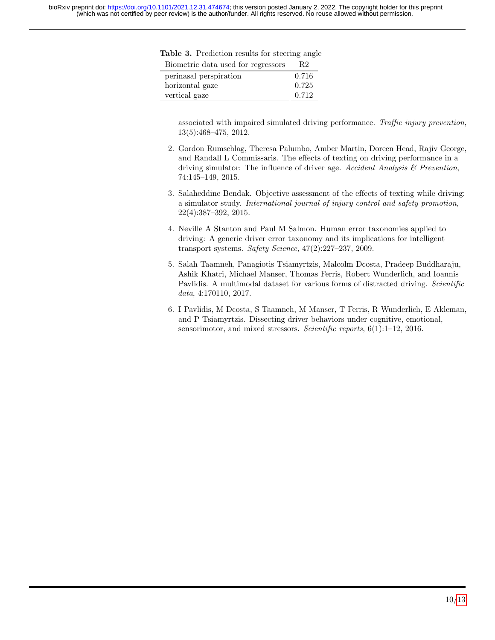| Biometric data used for regressors | R2    |
|------------------------------------|-------|
| perinasal perspiration             | 0.716 |
| horizontal gaze                    | 0.725 |
| vertical gaze                      | 0.712 |

<span id="page-9-4"></span>Table 3. Prediction results for steering angle

associated with impaired simulated driving performance. Traffic injury prevention, 13(5):468–475, 2012.

- 2. Gordon Rumschlag, Theresa Palumbo, Amber Martin, Doreen Head, Rajiv George, and Randall L Commissaris. The effects of texting on driving performance in a driving simulator: The influence of driver age. Accident Analysis & Prevention, 74:145–149, 2015.
- <span id="page-9-0"></span>3. Salaheddine Bendak. Objective assessment of the effects of texting while driving: a simulator study. International journal of injury control and safety promotion, 22(4):387–392, 2015.
- <span id="page-9-1"></span>4. Neville A Stanton and Paul M Salmon. Human error taxonomies applied to driving: A generic driver error taxonomy and its implications for intelligent transport systems. Safety Science, 47(2):227–237, 2009.
- <span id="page-9-2"></span>5. Salah Taamneh, Panagiotis Tsiamyrtzis, Malcolm Dcosta, Pradeep Buddharaju, Ashik Khatri, Michael Manser, Thomas Ferris, Robert Wunderlich, and Ioannis Pavlidis. A multimodal dataset for various forms of distracted driving. Scientific data, 4:170110, 2017.
- <span id="page-9-3"></span>6. I Pavlidis, M Dcosta, S Taamneh, M Manser, T Ferris, R Wunderlich, E Akleman, and P Tsiamyrtzis. Dissecting driver behaviors under cognitive, emotional, sensorimotor, and mixed stressors. Scientific reports, 6(1):1-12, 2016.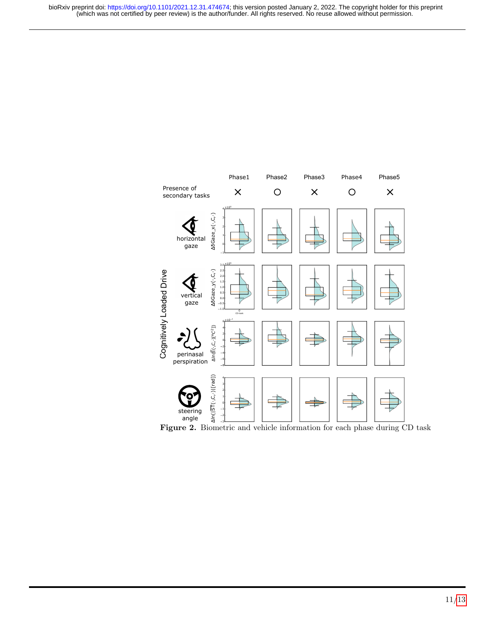<span id="page-10-0"></span>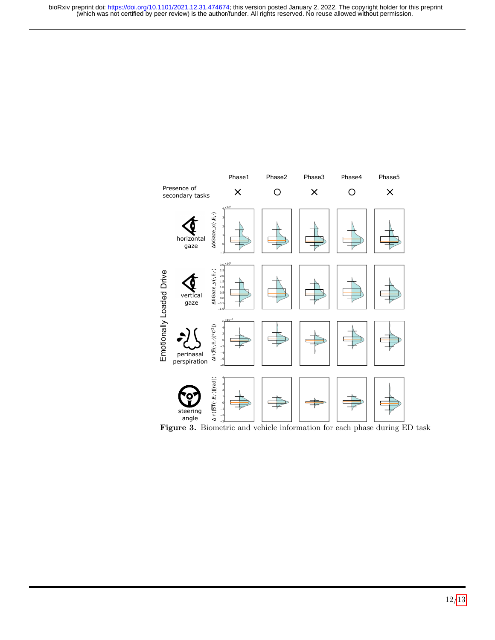<span id="page-11-0"></span>